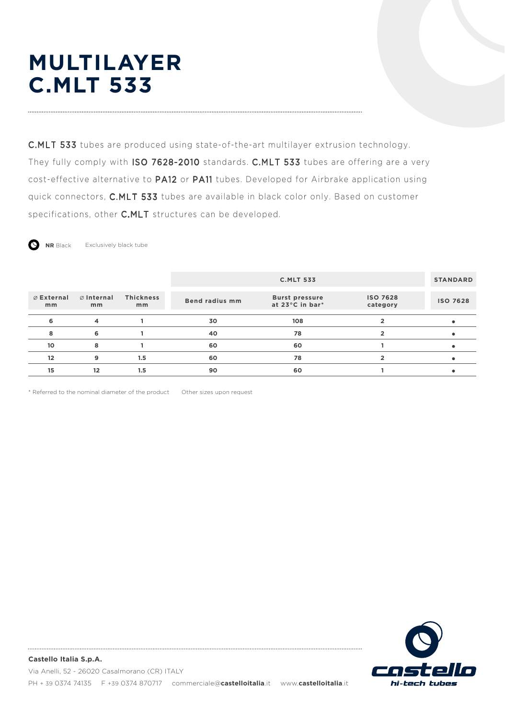# **MULTILAYER C.MLT 533**

C.MLT 533 tubes are produced using state-of-the-art multilayer extrusion technology. They fully comply with ISO 7628-2010 standards. C.MLT 533 tubes are offering are a very cost-effective alternative to PA12 or PA11 tubes. Developed for Airbrake application using quick connectors, C.MLT 533 tubes are available in black color only. Based on customer specifications, other C.MLT structures can be developed.

**NR** Black Exclusively black tube

|                            |                  |                        |                       | <b>C.MLT 533</b>                         |                             | <b>STANDARD</b> |
|----------------------------|------------------|------------------------|-----------------------|------------------------------------------|-----------------------------|-----------------|
| $\emptyset$ External<br>mm | ⊘ Internal<br>mm | <b>Thickness</b><br>mm | <b>Bend radius mm</b> | <b>Burst pressure</b><br>at 23°C in bar* | <b>ISO 7628</b><br>category | <b>ISO 7628</b> |
|                            | 4                |                        | 30                    | 108                                      |                             |                 |
| 8                          | 6                |                        | 40                    | 78                                       |                             |                 |
| 10                         | 8                |                        | 60                    | 60                                       |                             |                 |
| 12                         | 9                | 1.5                    | 60                    | 78                                       |                             |                 |
| 15                         | 12               | 1.5                    | 90                    | 60                                       |                             |                 |

\* Referred to the nominal diameter of the product Other sizes upon request